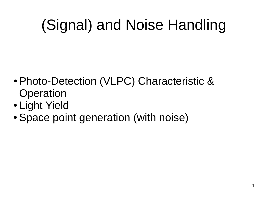# (Signal) and Noise Handling

- Photo-Detection (VLPC) Characteristic & Operation
- Light Yield
- Space point generation (with noise)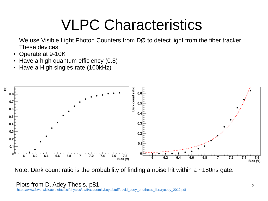## VLPC Characteristics

We use Visible Light Photon Counters from DØ to detect light from the fiber tracker. These devices:

- Operate at 9-10K
- Have a high quantum efficiency (0.8)
- Have a High singles rate (100kHz)



Note: Dark count ratio is the probability of finding a noise hit within a  $\sim$ 180ns gate.

Plots from D. Adey Thesis, p81

[https://www2.warwick.ac.uk/fac/sci/physics/staff/academic/boyd/stuff/david\\_adey\\_phdthesis\\_librarycopy\\_2012.pdf](https://www2.warwick.ac.uk/fac/sci/physics/staff/academic/boyd/stuff/david_adey_phdthesis_librarycopy_2012.pdf)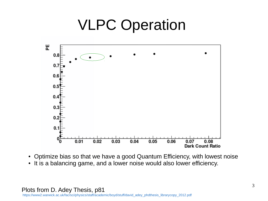### VLPC Operation



- Optimize bias so that we have a good Quantum Efficiency, with lowest noise
- It is a balancing game, and a lower noise would also lower efficiency.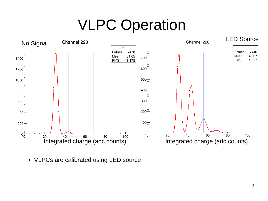## VLPC Operation



• VLPCs are calibrated using LED source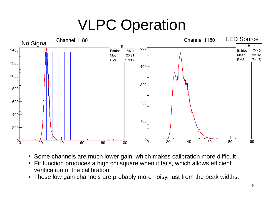## VLPC Operation



- Some channels are much lower gain, which makes calibration more difficult
- Fit function produces a high chi square when it fails, which allows efficient verification of the calibration.
- These low gain channels are probably more noisy, just from the peak widths.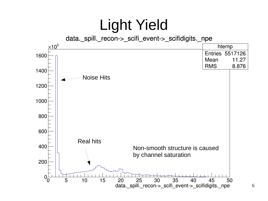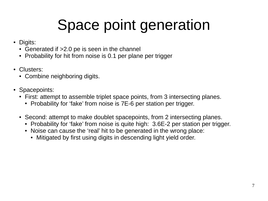# Space point generation

- Digits:
	- $\cdot$  Generated if  $>2.0$  pe is seen in the channel
	- Probability for hit from noise is 0.1 per plane per trigger
- Clusters:
	- Combine neighboring digits.
- Spacepoints:
	- First: attempt to assemble triplet space points, from 3 intersecting planes.
		- Probability for 'fake' from noise is 7E-6 per station per trigger.
	- Second: attempt to make doublet spacepoints, from 2 intersecting planes.
		- Probability for 'fake' from noise is quite high: 3.6E-2 per station per trigger.
		- Noise can cause the 'real' hit to be generated in the wrong place:
			- Mitigated by first using digits in descending light yield order.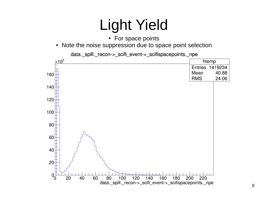## Light Yield

- For space points
- Note the noise suppression due to space point selection



data. spill. recon-> scifi event-> scifispacepoints. npe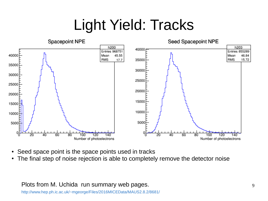## Light Yield: Tracks



- Seed space point is the space points used in tracks
- The final step of noise rejection is able to completely remove the detector noise

Plots from M. Uchida run summary web pages.

<http://www.hep.ph.ic.ac.uk/~mgeorge/Files/2016MICEData/MAUS2.8.2/8681/>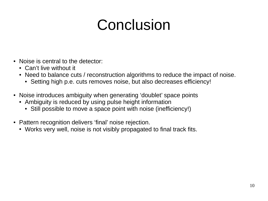## Conclusion

- Noise is central to the detector:
	- Can't live without it
	- Need to balance cuts / reconstruction algorithms to reduce the impact of noise.
		- Setting high p.e. cuts removes noise, but also decreases efficiency!
- Noise introduces ambiguity when generating 'doublet' space points
	- Ambiguity is reduced by using pulse height information
		- Still possible to move a space point with noise (inefficiency!)
- Pattern recognition delivers 'final' noise rejection.
	- Works very well, noise is not visibly propagated to final track fits.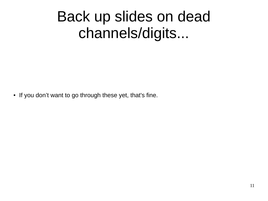## Back up slides on dead channels/digits...

• If you don't want to go through these yet, that's fine.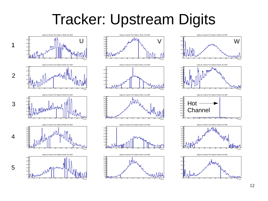#### Tracker: Upstream Digits





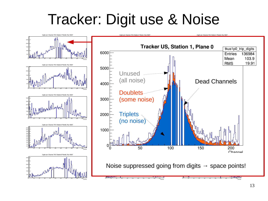### Tracker: Digit use & Noise

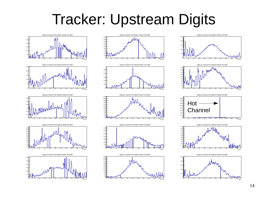#### Tracker: Upstream Digits





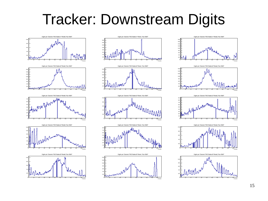#### Tracker: Downstream Digits